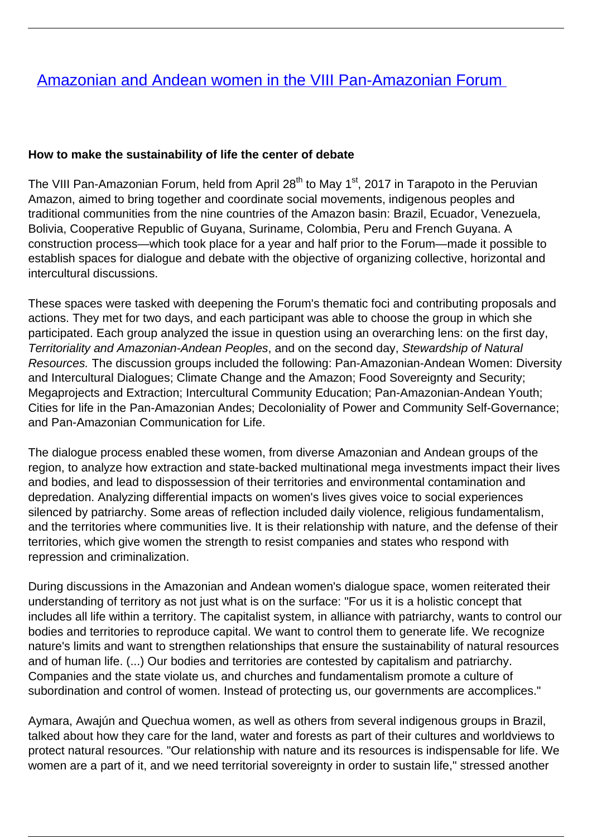## [Amazonian and Andean women in the VIII Pan-Amazonian Forum](/bulletin-articles/amazonian-and-andean-women-in-the-viii-pan-amazonian-forum)

## **How to make the sustainability of life the center of debate**

The VIII Pan-Amazonian Forum, held from April 28<sup>th</sup> to May 1<sup>st</sup>, 2017 in Tarapoto in the Peruvian Amazon, aimed to bring together and coordinate social movements, indigenous peoples and traditional communities from the nine countries of the Amazon basin: Brazil, Ecuador, Venezuela, Bolivia, Cooperative Republic of Guyana, Suriname, Colombia, Peru and French Guyana. A construction process—which took place for a year and half prior to the Forum—made it possible to establish spaces for dialogue and debate with the objective of organizing collective, horizontal and intercultural discussions.

These spaces were tasked with deepening the Forum's thematic foci and contributing proposals and actions. They met for two days, and each participant was able to choose the group in which she participated. Each group analyzed the issue in question using an overarching lens: on the first day, Territoriality and Amazonian-Andean Peoples, and on the second day, Stewardship of Natural Resources. The discussion groups included the following: Pan-Amazonian-Andean Women: Diversity and Intercultural Dialogues; Climate Change and the Amazon; Food Sovereignty and Security; Megaprojects and Extraction; Intercultural Community Education; Pan-Amazonian-Andean Youth; Cities for life in the Pan-Amazonian Andes; Decoloniality of Power and Community Self-Governance; and Pan-Amazonian Communication for Life.

The dialogue process enabled these women, from diverse Amazonian and Andean groups of the region, to analyze how extraction and state-backed multinational mega investments impact their lives and bodies, and lead to dispossession of their territories and environmental contamination and depredation. Analyzing differential impacts on women's lives gives voice to social experiences silenced by patriarchy. Some areas of reflection included daily violence, religious fundamentalism, and the territories where communities live. It is their relationship with nature, and the defense of their territories, which give women the strength to resist companies and states who respond with repression and criminalization.

During discussions in the Amazonian and Andean women's dialogue space, women reiterated their understanding of territory as not just what is on the surface: "For us it is a holistic concept that includes all life within a territory. The capitalist system, in alliance with patriarchy, wants to control our bodies and territories to reproduce capital. We want to control them to generate life. We recognize nature's limits and want to strengthen relationships that ensure the sustainability of natural resources and of human life. (...) Our bodies and territories are contested by capitalism and patriarchy. Companies and the state violate us, and churches and fundamentalism promote a culture of subordination and control of women. Instead of protecting us, our governments are accomplices."

Aymara, Awajún and Quechua women, as well as others from several indigenous groups in Brazil, talked about how they care for the land, water and forests as part of their cultures and worldviews to protect natural resources. "Our relationship with nature and its resources is indispensable for life. We women are a part of it, and we need territorial sovereignty in order to sustain life," stressed another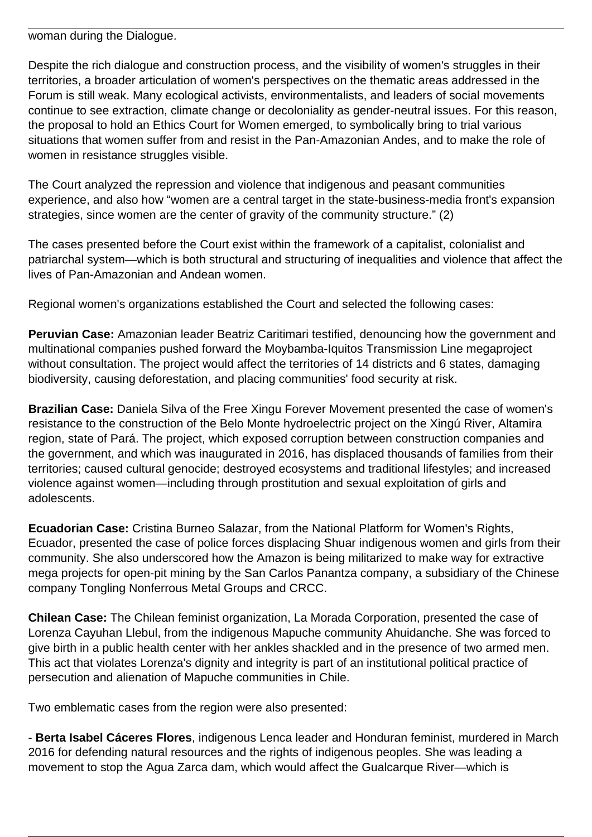woman during the Dialogue.

Despite the rich dialogue and construction process, and the visibility of women's struggles in their territories, a broader articulation of women's perspectives on the thematic areas addressed in the Forum is still weak. Many ecological activists, environmentalists, and leaders of social movements continue to see extraction, climate change or decoloniality as gender-neutral issues. For this reason, the proposal to hold an Ethics Court for Women emerged, to symbolically bring to trial various situations that women suffer from and resist in the Pan-Amazonian Andes, and to make the role of women in resistance struggles visible.

The Court analyzed the repression and violence that indigenous and peasant communities experience, and also how "women are a central target in the state-business-media front's expansion strategies, since women are the center of gravity of the community structure." (2)

The cases presented before the Court exist within the framework of a capitalist, colonialist and patriarchal system—which is both structural and structuring of inequalities and violence that affect the lives of Pan-Amazonian and Andean women.

Regional women's organizations established the Court and selected the following cases:

**Peruvian Case:** Amazonian leader Beatriz Caritimari testified, denouncing how the government and multinational companies pushed forward the Moybamba-Iquitos Transmission Line megaproject without consultation. The project would affect the territories of 14 districts and 6 states, damaging biodiversity, causing deforestation, and placing communities' food security at risk.

**Brazilian Case:** Daniela Silva of the Free Xingu Forever Movement presented the case of women's resistance to the construction of the Belo Monte hydroelectric project on the Xingú River, Altamira region, state of Pará. The project, which exposed corruption between construction companies and the government, and which was inaugurated in 2016, has displaced thousands of families from their territories; caused cultural genocide; destroyed ecosystems and traditional lifestyles; and increased violence against women—including through prostitution and sexual exploitation of girls and adolescents.

**Ecuadorian Case:** Cristina Burneo Salazar, from the National Platform for Women's Rights, Ecuador, presented the case of police forces displacing Shuar indigenous women and girls from their community. She also underscored how the Amazon is being militarized to make way for extractive mega projects for open-pit mining by the San Carlos Panantza company, a subsidiary of the Chinese company Tongling Nonferrous Metal Groups and CRCC.

**Chilean Case:** The Chilean feminist organization, La Morada Corporation, presented the case of Lorenza Cayuhan Llebul, from the indigenous Mapuche community Ahuidanche. She was forced to give birth in a public health center with her ankles shackled and in the presence of two armed men. This act that violates Lorenza's dignity and integrity is part of an institutional political practice of persecution and alienation of Mapuche communities in Chile.

Two emblematic cases from the region were also presented:

- **Berta Isabel Cáceres Flores**, indigenous Lenca leader and Honduran feminist, murdered in March 2016 for defending natural resources and the rights of indigenous peoples. She was leading a movement to stop the Agua Zarca dam, which would affect the Gualcarque River—which is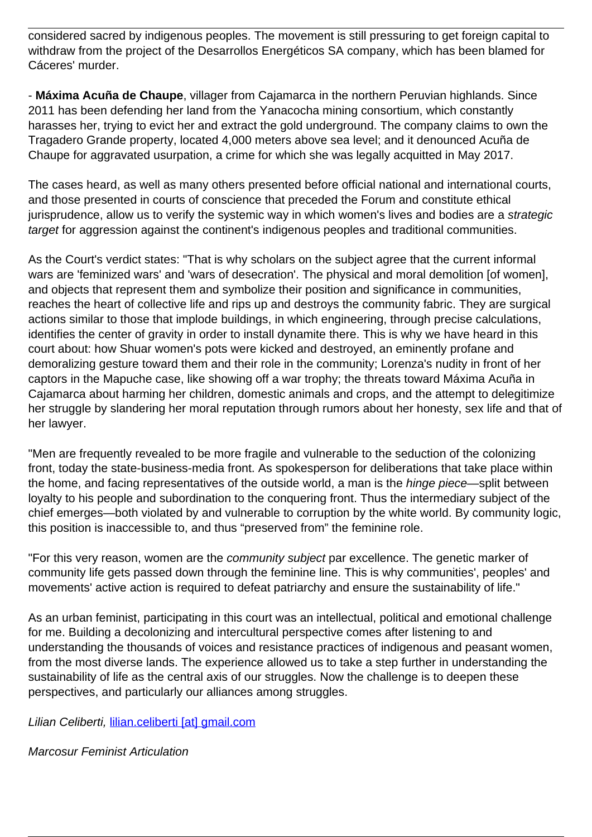considered sacred by indigenous peoples. The movement is still pressuring to get foreign capital to withdraw from the project of the Desarrollos Energéticos SA company, which has been blamed for Cáceres' murder.

- **Máxima Acuña de Chaupe**, villager from Cajamarca in the northern Peruvian highlands. Since 2011 has been defending her land from the Yanacocha mining consortium, which constantly harasses her, trying to evict her and extract the gold underground. The company claims to own the Tragadero Grande property, located 4,000 meters above sea level; and it denounced Acuña de Chaupe for aggravated usurpation, a crime for which she was legally acquitted in May 2017.

The cases heard, as well as many others presented before official national and international courts, and those presented in courts of conscience that preceded the Forum and constitute ethical jurisprudence, allow us to verify the systemic way in which women's lives and bodies are a strategic target for aggression against the continent's indigenous peoples and traditional communities.

As the Court's verdict states: "That is why scholars on the subject agree that the current informal wars are 'feminized wars' and 'wars of desecration'. The physical and moral demolition [of women], and objects that represent them and symbolize their position and significance in communities, reaches the heart of collective life and rips up and destroys the community fabric. They are surgical actions similar to those that implode buildings, in which engineering, through precise calculations, identifies the center of gravity in order to install dynamite there. This is why we have heard in this court about: how Shuar women's pots were kicked and destroyed, an eminently profane and demoralizing gesture toward them and their role in the community; Lorenza's nudity in front of her captors in the Mapuche case, like showing off a war trophy; the threats toward Máxima Acuña in Cajamarca about harming her children, domestic animals and crops, and the attempt to delegitimize her struggle by slandering her moral reputation through rumors about her honesty, sex life and that of her lawyer.

"Men are frequently revealed to be more fragile and vulnerable to the seduction of the colonizing front, today the state-business-media front. As spokesperson for deliberations that take place within the home, and facing representatives of the outside world, a man is the *hinge piece*—split between loyalty to his people and subordination to the conquering front. Thus the intermediary subject of the chief emerges—both violated by and vulnerable to corruption by the white world. By community logic, this position is inaccessible to, and thus "preserved from" the feminine role.

"For this very reason, women are the community subject par excellence. The genetic marker of community life gets passed down through the feminine line. This is why communities', peoples' and movements' active action is required to defeat patriarchy and ensure the sustainability of life."

As an urban feminist, participating in this court was an intellectual, political and emotional challenge for me. Building a decolonizing and intercultural perspective comes after listening to and understanding the thousands of voices and resistance practices of indigenous and peasant women, from the most diverse lands. The experience allowed us to take a step further in understanding the sustainability of life as the central axis of our struggles. Now the challenge is to deepen these perspectives, and particularly our alliances among struggles.

Lilian Celiberti, lilian.celiberti [at] qmail.com

Marcosur Feminist Articulation